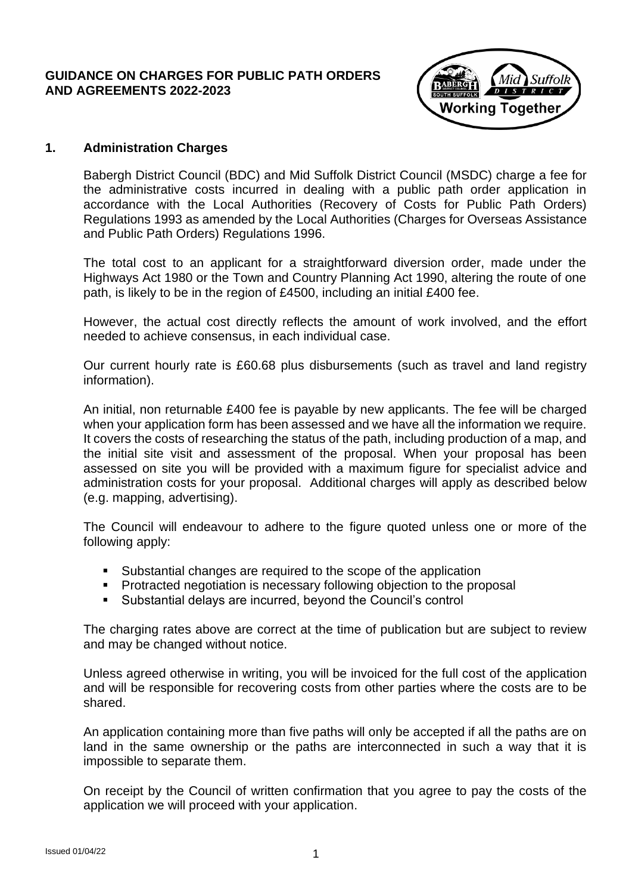#### **GUIDANCE ON CHARGES FOR PUBLIC PATH ORDERS AND AGREEMENTS 2022-2023**



### **1. Administration Charges**

Babergh District Council (BDC) and Mid Suffolk District Council (MSDC) charge a fee for the administrative costs incurred in dealing with a public path order application in accordance with the Local Authorities (Recovery of Costs for Public Path Orders) Regulations 1993 as amended by the Local Authorities (Charges for Overseas Assistance and Public Path Orders) Regulations 1996.

The total cost to an applicant for a straightforward diversion order, made under the Highways Act 1980 or the Town and Country Planning Act 1990, altering the route of one path, is likely to be in the region of £4500, including an initial £400 fee.

However, the actual cost directly reflects the amount of work involved, and the effort needed to achieve consensus, in each individual case.

Our current hourly rate is £60.68 plus disbursements (such as travel and land registry information).

An initial, non returnable £400 fee is payable by new applicants. The fee will be charged when your application form has been assessed and we have all the information we require. It covers the costs of researching the status of the path, including production of a map, and the initial site visit and assessment of the proposal. When your proposal has been assessed on site you will be provided with a maximum figure for specialist advice and administration costs for your proposal. Additional charges will apply as described below (e.g. mapping, advertising).

The Council will endeavour to adhere to the figure quoted unless one or more of the following apply:

- Substantial changes are required to the scope of the application
- Protracted negotiation is necessary following objection to the proposal
- Substantial delays are incurred, beyond the Council's control

The charging rates above are correct at the time of publication but are subject to review and may be changed without notice.

Unless agreed otherwise in writing, you will be invoiced for the full cost of the application and will be responsible for recovering costs from other parties where the costs are to be shared.

An application containing more than five paths will only be accepted if all the paths are on land in the same ownership or the paths are interconnected in such a way that it is impossible to separate them.

On receipt by the Council of written confirmation that you agree to pay the costs of the application we will proceed with your application.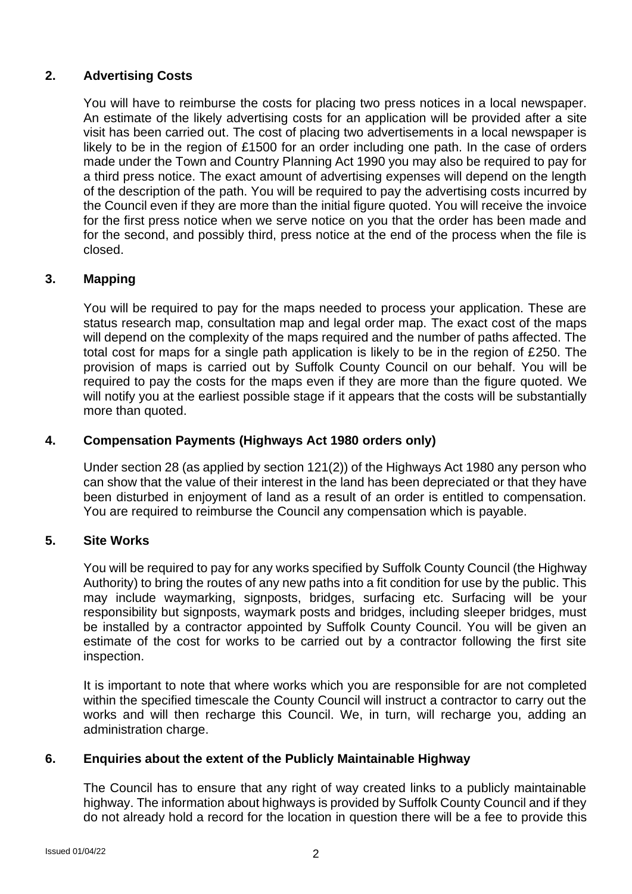# **2. Advertising Costs**

You will have to reimburse the costs for placing two press notices in a local newspaper. An estimate of the likely advertising costs for an application will be provided after a site visit has been carried out. The cost of placing two advertisements in a local newspaper is likely to be in the region of £1500 for an order including one path. In the case of orders made under the Town and Country Planning Act 1990 you may also be required to pay for a third press notice. The exact amount of advertising expenses will depend on the length of the description of the path. You will be required to pay the advertising costs incurred by the Council even if they are more than the initial figure quoted. You will receive the invoice for the first press notice when we serve notice on you that the order has been made and for the second, and possibly third, press notice at the end of the process when the file is closed.

# **3. Mapping**

You will be required to pay for the maps needed to process your application. These are status research map, consultation map and legal order map. The exact cost of the maps will depend on the complexity of the maps required and the number of paths affected. The total cost for maps for a single path application is likely to be in the region of £250. The provision of maps is carried out by Suffolk County Council on our behalf. You will be required to pay the costs for the maps even if they are more than the figure quoted. We will notify you at the earliest possible stage if it appears that the costs will be substantially more than quoted.

### **4. Compensation Payments (Highways Act 1980 orders only)**

Under section 28 (as applied by section 121(2)) of the Highways Act 1980 any person who can show that the value of their interest in the land has been depreciated or that they have been disturbed in enjoyment of land as a result of an order is entitled to compensation. You are required to reimburse the Council any compensation which is payable.

## **5. Site Works**

You will be required to pay for any works specified by Suffolk County Council (the Highway Authority) to bring the routes of any new paths into a fit condition for use by the public. This may include waymarking, signposts, bridges, surfacing etc. Surfacing will be your responsibility but signposts, waymark posts and bridges, including sleeper bridges, must be installed by a contractor appointed by Suffolk County Council. You will be given an estimate of the cost for works to be carried out by a contractor following the first site inspection.

It is important to note that where works which you are responsible for are not completed within the specified timescale the County Council will instruct a contractor to carry out the works and will then recharge this Council. We, in turn, will recharge you, adding an administration charge.

## **6. Enquiries about the extent of the Publicly Maintainable Highway**

The Council has to ensure that any right of way created links to a publicly maintainable highway. The information about highways is provided by Suffolk County Council and if they do not already hold a record for the location in question there will be a fee to provide this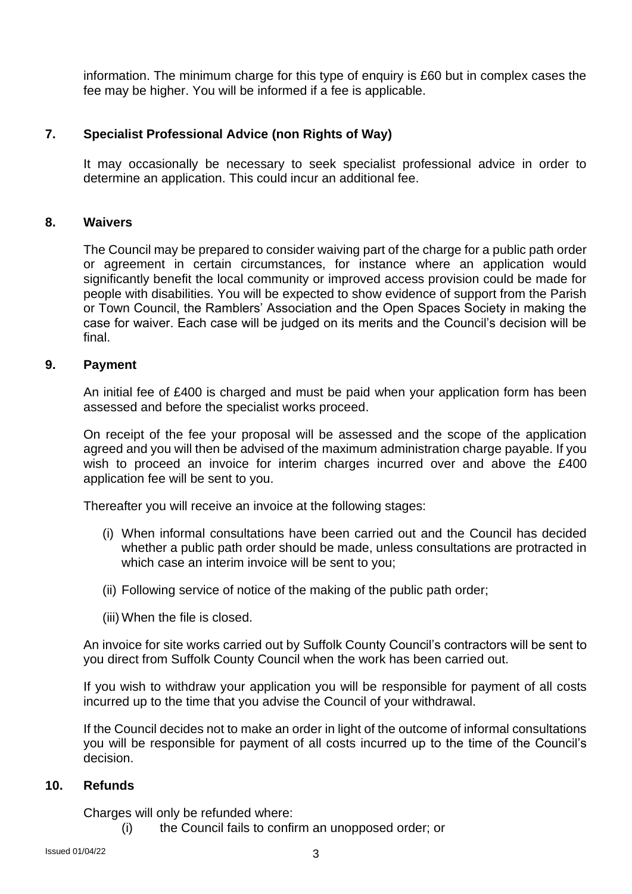information. The minimum charge for this type of enquiry is £60 but in complex cases the fee may be higher. You will be informed if a fee is applicable.

### **7. Specialist Professional Advice (non Rights of Way)**

It may occasionally be necessary to seek specialist professional advice in order to determine an application. This could incur an additional fee.

#### **8. Waivers**

The Council may be prepared to consider waiving part of the charge for a public path order or agreement in certain circumstances, for instance where an application would significantly benefit the local community or improved access provision could be made for people with disabilities. You will be expected to show evidence of support from the Parish or Town Council, the Ramblers' Association and the Open Spaces Society in making the case for waiver. Each case will be judged on its merits and the Council's decision will be final.

#### **9. Payment**

An initial fee of £400 is charged and must be paid when your application form has been assessed and before the specialist works proceed.

On receipt of the fee your proposal will be assessed and the scope of the application agreed and you will then be advised of the maximum administration charge payable. If you wish to proceed an invoice for interim charges incurred over and above the £400 application fee will be sent to you.

Thereafter you will receive an invoice at the following stages:

- (i) When informal consultations have been carried out and the Council has decided whether a public path order should be made, unless consultations are protracted in which case an interim invoice will be sent to you;
- (ii) Following service of notice of the making of the public path order;
- (iii) When the file is closed.

An invoice for site works carried out by Suffolk County Council's contractors will be sent to you direct from Suffolk County Council when the work has been carried out.

If you wish to withdraw your application you will be responsible for payment of all costs incurred up to the time that you advise the Council of your withdrawal.

If the Council decides not to make an order in light of the outcome of informal consultations you will be responsible for payment of all costs incurred up to the time of the Council's decision.

### **10. Refunds**

Charges will only be refunded where:

(i) the Council fails to confirm an unopposed order; or